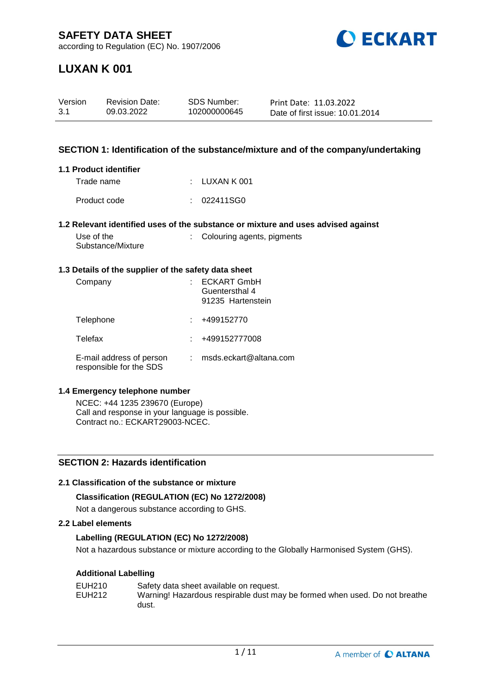

# **LUXAN K 001**

| Version | <b>Revision Date:</b> | SDS Number:  | Print Date: 11.03.2022          |
|---------|-----------------------|--------------|---------------------------------|
| -3.1    | 09.03.2022            | 102000000645 | Date of first issue: 10.01.2014 |

### **SECTION 1: Identification of the substance/mixture and of the company/undertaking**

#### **1.1 Product identifier**

| Trade name   | $\pm$ LUXAN K 001 |  |
|--------------|-------------------|--|
| Product code | : 022411SGO       |  |

#### **1.2 Relevant identified uses of the substance or mixture and uses advised against**

| Use of the        |  |
|-------------------|--|
| Substance/Mixture |  |

: Colouring agents, pigments

#### **1.3 Details of the supplier of the safety data sheet**

| Company                                             | <b>ECKART GmbH</b><br>Guentersthal 4<br>91235 Hartenstein |
|-----------------------------------------------------|-----------------------------------------------------------|
| Telephone                                           | +499152770                                                |
| Telefax                                             | +499152777008                                             |
| E-mail address of person<br>responsible for the SDS | msds.eckart@altana.com                                    |

#### **1.4 Emergency telephone number**

NCEC: +44 1235 239670 (Europe) Call and response in your language is possible. Contract no.: ECKART29003-NCEC.

## **SECTION 2: Hazards identification**

#### **2.1 Classification of the substance or mixture**

## **Classification (REGULATION (EC) No 1272/2008)**

Not a dangerous substance according to GHS.

### **2.2 Label elements**

## **Labelling (REGULATION (EC) No 1272/2008)**

Not a hazardous substance or mixture according to the Globally Harmonised System (GHS).

## **Additional Labelling**

| EUH210 | Safety data sheet available on request.                                    |
|--------|----------------------------------------------------------------------------|
| EUH212 | Warning! Hazardous respirable dust may be formed when used. Do not breathe |
|        | dust.                                                                      |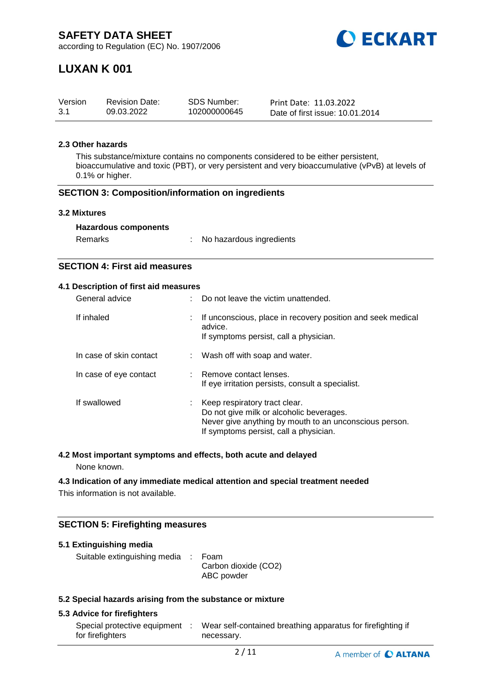

# **LUXAN K 001**

| Version | <b>Revision Date:</b> | <b>SDS Number:</b> | Print Date: 11.03.2022          |
|---------|-----------------------|--------------------|---------------------------------|
| 3.1     | 09.03.2022            | 102000000645       | Date of first issue: 10.01.2014 |

## **2.3 Other hazards**

This substance/mixture contains no components considered to be either persistent, bioaccumulative and toxic (PBT), or very persistent and very bioaccumulative (vPvB) at levels of 0.1% or higher.

#### **SECTION 3: Composition/information on ingredients**

#### **3.2 Mixtures**

| Remarks | No hazardous ingredients |
|---------|--------------------------|
|---------|--------------------------|

## **SECTION 4: First aid measures**

### **4.1 Description of first aid measures**

| General advice          |    | Do not leave the victim unattended.                                                                                                                                           |  |
|-------------------------|----|-------------------------------------------------------------------------------------------------------------------------------------------------------------------------------|--|
| If inhaled              | ÷. | If unconscious, place in recovery position and seek medical<br>advice.<br>If symptoms persist, call a physician.                                                              |  |
| In case of skin contact |    | : Wash off with soap and water.                                                                                                                                               |  |
| In case of eye contact  |    | : Remove contact lenses.<br>If eye irritation persists, consult a specialist.                                                                                                 |  |
| If swallowed            |    | Keep respiratory tract clear.<br>Do not give milk or alcoholic beverages.<br>Never give anything by mouth to an unconscious person.<br>If symptoms persist, call a physician. |  |

## **4.2 Most important symptoms and effects, both acute and delayed**

None known.

#### **4.3 Indication of any immediate medical attention and special treatment needed**

This information is not available.

## **SECTION 5: Firefighting measures**

| 5.1 Extinguishing media                                   |  |                                    |  |  |  |
|-----------------------------------------------------------|--|------------------------------------|--|--|--|
| Suitable extinguishing media : Foam                       |  | Carbon dioxide (CO2)<br>ABC powder |  |  |  |
| 5.3 Special hazarde aricing from the substance or mixture |  |                                    |  |  |  |

#### **5.2 Special hazards arising from the substance or mixture**

## **5.3 Advice for firefighters**

| Special protective equipment | Wear self-contained breathing apparatus for firefighting if |
|------------------------------|-------------------------------------------------------------|
| for firefighters             | necessary.                                                  |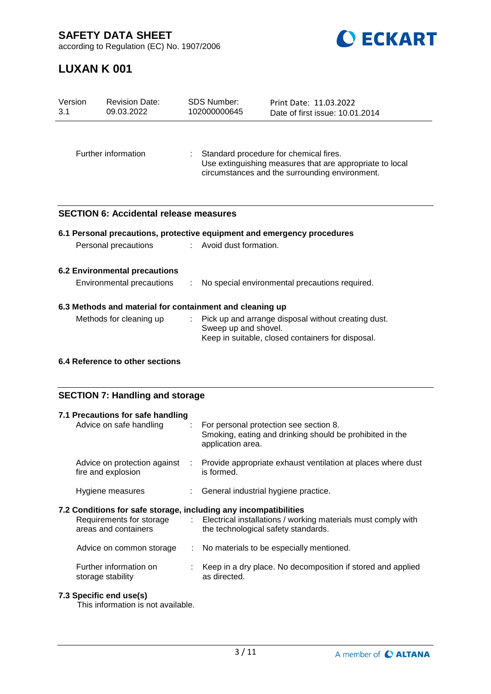**SAFETY DATA SHEET**



according to Regulation (EC) No. 1907/2006

# **LUXAN K 001**

| Version<br>3.1                                                    | <b>Revision Date:</b><br>09.03.2022           | <b>SDS Number:</b><br>102000000645 | Print Date: 11.03.2022<br>Date of first issue: 10.01.2014                                                                                            |
|-------------------------------------------------------------------|-----------------------------------------------|------------------------------------|------------------------------------------------------------------------------------------------------------------------------------------------------|
| Further information                                               |                                               |                                    | Standard procedure for chemical fires.<br>Use extinguishing measures that are appropriate to local<br>circumstances and the surrounding environment. |
|                                                                   | <b>SECTION 6: Accidental release measures</b> |                                    |                                                                                                                                                      |
|                                                                   |                                               |                                    | 6.1 Personal precautions, protective equipment and emergency procedures                                                                              |
|                                                                   | Personal precautions                          | : Avoid dust formation.            |                                                                                                                                                      |
| <b>6.2 Environmental precautions</b><br>Environmental precautions |                                               |                                    | No special environmental precautions required.                                                                                                       |
| 6.3 Methods and material for containment and cleaning up          |                                               |                                    |                                                                                                                                                      |
|                                                                   | Methods for cleaning up                       | ÷.<br>Sweep up and shovel.         | Pick up and arrange disposal without creating dust.<br>Keep in suitable, closed containers for disposal.                                             |
|                                                                   | 6.4 Reference to other sections               |                                    |                                                                                                                                                      |

## **SECTION 7: Handling and storage**

| 7.1 Precautions for safe handling<br>Advice on safe handling                                                         |     | : For personal protection see section 8.<br>Smoking, eating and drinking should be prohibited in the<br>application area. |
|----------------------------------------------------------------------------------------------------------------------|-----|---------------------------------------------------------------------------------------------------------------------------|
| Advice on protection against<br>fire and explosion                                                                   | -11 | Provide appropriate exhaust ventilation at places where dust<br>is formed.                                                |
| Hygiene measures                                                                                                     |     | : General industrial hygiene practice.                                                                                    |
| 7.2 Conditions for safe storage, including any incompatibilities<br>Requirements for storage<br>areas and containers |     | : Electrical installations / working materials must comply with<br>the technological safety standards.                    |
| Advice on common storage                                                                                             | ÷   | No materials to be especially mentioned.                                                                                  |
| Further information on<br>storage stability                                                                          |     | Keep in a dry place. No decomposition if stored and applied<br>as directed.                                               |

## **7.3 Specific end use(s)**

This information is not available.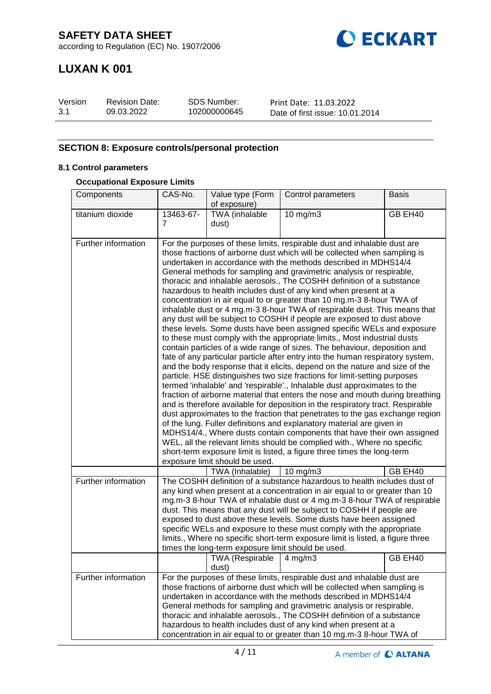

# **LUXAN K 001**

| Version | <b>Revision Date:</b> | SDS Number:  | Print Date: 11.03.2022          |
|---------|-----------------------|--------------|---------------------------------|
| -3.1    | 09.03.2022            | 102000000645 | Date of first issue: 10.01.2014 |

## **SECTION 8: Exposure controls/personal protection**

## **8.1 Control parameters**

#### **Occupational Exposure Limits**

| Components          | CAS-No.        | Value type (Form                                   | Control parameters                                                                                                                                                                                                                                                                                                                                                                                                                                                                                                                                                                                                                                                                                                                                                                                                                                                                                                                                                                                                                                                                                                                                                                                                                                                                                                                                                                                                                                                                                                                                                                                                                                                                                                                                                                                    | <b>Basis</b> |
|---------------------|----------------|----------------------------------------------------|-------------------------------------------------------------------------------------------------------------------------------------------------------------------------------------------------------------------------------------------------------------------------------------------------------------------------------------------------------------------------------------------------------------------------------------------------------------------------------------------------------------------------------------------------------------------------------------------------------------------------------------------------------------------------------------------------------------------------------------------------------------------------------------------------------------------------------------------------------------------------------------------------------------------------------------------------------------------------------------------------------------------------------------------------------------------------------------------------------------------------------------------------------------------------------------------------------------------------------------------------------------------------------------------------------------------------------------------------------------------------------------------------------------------------------------------------------------------------------------------------------------------------------------------------------------------------------------------------------------------------------------------------------------------------------------------------------------------------------------------------------------------------------------------------------|--------------|
|                     |                | of exposure)                                       |                                                                                                                                                                                                                                                                                                                                                                                                                                                                                                                                                                                                                                                                                                                                                                                                                                                                                                                                                                                                                                                                                                                                                                                                                                                                                                                                                                                                                                                                                                                                                                                                                                                                                                                                                                                                       |              |
| titanium dioxide    | 13463-67-<br>7 | TWA (inhalable                                     | $10$ mg/m $3$                                                                                                                                                                                                                                                                                                                                                                                                                                                                                                                                                                                                                                                                                                                                                                                                                                                                                                                                                                                                                                                                                                                                                                                                                                                                                                                                                                                                                                                                                                                                                                                                                                                                                                                                                                                         | GB EH40      |
|                     |                | dust)                                              |                                                                                                                                                                                                                                                                                                                                                                                                                                                                                                                                                                                                                                                                                                                                                                                                                                                                                                                                                                                                                                                                                                                                                                                                                                                                                                                                                                                                                                                                                                                                                                                                                                                                                                                                                                                                       |              |
| Further information |                | exposure limit should be used.                     | For the purposes of these limits, respirable dust and inhalable dust are<br>those fractions of airborne dust which will be collected when sampling is<br>undertaken in accordance with the methods described in MDHS14/4<br>General methods for sampling and gravimetric analysis or respirable,<br>thoracic and inhalable aerosols., The COSHH definition of a substance<br>hazardous to health includes dust of any kind when present at a<br>concentration in air equal to or greater than 10 mg.m-3 8-hour TWA of<br>inhalable dust or 4 mg.m-3 8-hour TWA of respirable dust. This means that<br>any dust will be subject to COSHH if people are exposed to dust above<br>these levels. Some dusts have been assigned specific WELs and exposure<br>to these must comply with the appropriate limits., Most industrial dusts<br>contain particles of a wide range of sizes. The behaviour, deposition and<br>fate of any particular particle after entry into the human respiratory system,<br>and the body response that it elicits, depend on the nature and size of the<br>particle. HSE distinguishes two size fractions for limit-setting purposes<br>termed 'inhalable' and 'respirable'., Inhalable dust approximates to the<br>fraction of airborne material that enters the nose and mouth during breathing<br>and is therefore available for deposition in the respiratory tract. Respirable<br>dust approximates to the fraction that penetrates to the gas exchange region<br>of the lung. Fuller definitions and explanatory material are given in<br>MDHS14/4., Where dusts contain components that have their own assigned<br>WEL, all the relevant limits should be complied with., Where no specific<br>short-term exposure limit is listed, a figure three times the long-term |              |
|                     |                | TWA (Inhalable)                                    | 10 mg/m3                                                                                                                                                                                                                                                                                                                                                                                                                                                                                                                                                                                                                                                                                                                                                                                                                                                                                                                                                                                                                                                                                                                                                                                                                                                                                                                                                                                                                                                                                                                                                                                                                                                                                                                                                                                              | GB EH40      |
| Further information |                | times the long-term exposure limit should be used. | The COSHH definition of a substance hazardous to health includes dust of<br>any kind when present at a concentration in air equal to or greater than 10<br>mg.m-3 8-hour TWA of inhalable dust or 4 mg.m-3 8-hour TWA of respirable<br>dust. This means that any dust will be subject to COSHH if people are<br>exposed to dust above these levels. Some dusts have been assigned<br>specific WELs and exposure to these must comply with the appropriate<br>limits., Where no specific short-term exposure limit is listed, a figure three                                                                                                                                                                                                                                                                                                                                                                                                                                                                                                                                                                                                                                                                                                                                                                                                                                                                                                                                                                                                                                                                                                                                                                                                                                                           |              |
|                     |                | TWA (Respirable<br>dust)                           | $4 \,\mathrm{mg/m3}$                                                                                                                                                                                                                                                                                                                                                                                                                                                                                                                                                                                                                                                                                                                                                                                                                                                                                                                                                                                                                                                                                                                                                                                                                                                                                                                                                                                                                                                                                                                                                                                                                                                                                                                                                                                  | GB EH40      |
| Further information |                |                                                    | For the purposes of these limits, respirable dust and inhalable dust are<br>those fractions of airborne dust which will be collected when sampling is<br>undertaken in accordance with the methods described in MDHS14/4<br>General methods for sampling and gravimetric analysis or respirable,<br>thoracic and inhalable aerosols., The COSHH definition of a substance<br>hazardous to health includes dust of any kind when present at a<br>concentration in air equal to or greater than 10 mg.m-3 8-hour TWA of                                                                                                                                                                                                                                                                                                                                                                                                                                                                                                                                                                                                                                                                                                                                                                                                                                                                                                                                                                                                                                                                                                                                                                                                                                                                                 |              |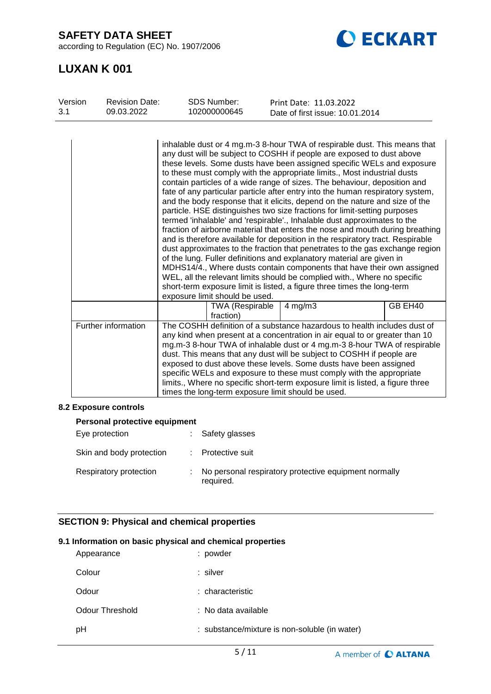**SAFETY DATA SHEET**

according to Regulation (EC) No. 1907/2006



# **LUXAN K 001**

| Version<br>3.1 | <b>Revision Date:</b><br>09.03.2022 | <b>SDS Number:</b><br>102000000645                 | Print Date: 11.03.2022<br>Date of first issue: 10.01.2014                                                                                                                                                                                                                                                                                                                                                                                                                                                                                                                                                                                                                                                                                                                                                                                                                                                                                                                                                                                                                                                                                                                                                                                                                    |  |
|----------------|-------------------------------------|----------------------------------------------------|------------------------------------------------------------------------------------------------------------------------------------------------------------------------------------------------------------------------------------------------------------------------------------------------------------------------------------------------------------------------------------------------------------------------------------------------------------------------------------------------------------------------------------------------------------------------------------------------------------------------------------------------------------------------------------------------------------------------------------------------------------------------------------------------------------------------------------------------------------------------------------------------------------------------------------------------------------------------------------------------------------------------------------------------------------------------------------------------------------------------------------------------------------------------------------------------------------------------------------------------------------------------------|--|
|                |                                     | exposure limit should be used.                     | inhalable dust or 4 mg.m-3 8-hour TWA of respirable dust. This means that<br>any dust will be subject to COSHH if people are exposed to dust above<br>these levels. Some dusts have been assigned specific WELs and exposure<br>to these must comply with the appropriate limits., Most industrial dusts<br>contain particles of a wide range of sizes. The behaviour, deposition and<br>fate of any particular particle after entry into the human respiratory system,<br>and the body response that it elicits, depend on the nature and size of the<br>particle. HSE distinguishes two size fractions for limit-setting purposes<br>termed 'inhalable' and 'respirable'., Inhalable dust approximates to the<br>fraction of airborne material that enters the nose and mouth during breathing<br>and is therefore available for deposition in the respiratory tract. Respirable<br>dust approximates to the fraction that penetrates to the gas exchange region<br>of the lung. Fuller definitions and explanatory material are given in<br>MDHS14/4., Where dusts contain components that have their own assigned<br>WEL, all the relevant limits should be complied with., Where no specific<br>short-term exposure limit is listed, a figure three times the long-term |  |
|                |                                     | <b>TWA (Respirable</b><br>fraction)                | GB EH40<br>$4$ mg/m $3$                                                                                                                                                                                                                                                                                                                                                                                                                                                                                                                                                                                                                                                                                                                                                                                                                                                                                                                                                                                                                                                                                                                                                                                                                                                      |  |
|                | Further information                 | times the long-term exposure limit should be used. | The COSHH definition of a substance hazardous to health includes dust of<br>any kind when present at a concentration in air equal to or greater than 10<br>mg.m-3 8-hour TWA of inhalable dust or 4 mg.m-3 8-hour TWA of respirable<br>dust. This means that any dust will be subject to COSHH if people are<br>exposed to dust above these levels. Some dusts have been assigned<br>specific WELs and exposure to these must comply with the appropriate<br>limits., Where no specific short-term exposure limit is listed, a figure three                                                                                                                                                                                                                                                                                                                                                                                                                                                                                                                                                                                                                                                                                                                                  |  |

## **8.2 Exposure controls**

| <b>Personal protective equipment</b> |  |                                                                    |  |  |  |
|--------------------------------------|--|--------------------------------------------------------------------|--|--|--|
| Eye protection                       |  | Safety glasses                                                     |  |  |  |
| Skin and body protection             |  | : Protective suit                                                  |  |  |  |
| Respiratory protection               |  | No personal respiratory protective equipment normally<br>required. |  |  |  |

## **SECTION 9: Physical and chemical properties**

## **9.1 Information on basic physical and chemical properties**

| Appearance      | : powder                                      |
|-----------------|-----------------------------------------------|
| Colour          | : silver                                      |
| Odour           | : characteristic                              |
| Odour Threshold | : No data available                           |
| рH              | : substance/mixture is non-soluble (in water) |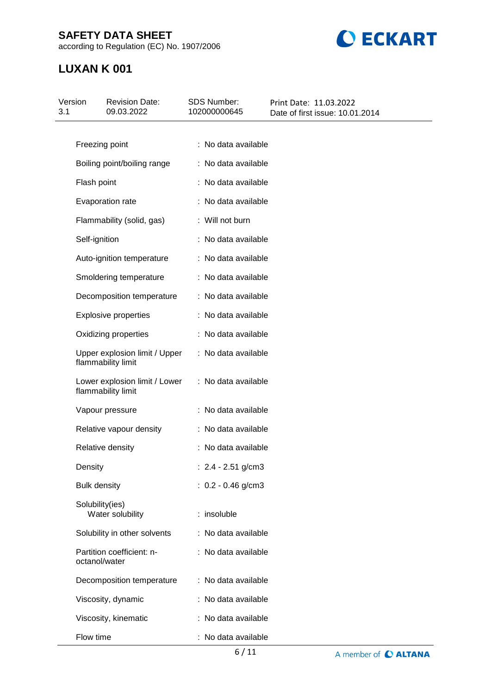## **SAFETY DATA SHEET**

according to Regulation (EC) No. 1907/2006



# **LUXAN K 001**

| Version<br>3.1 | <b>Revision Date:</b><br>09.03.2022                 | SDS Number:<br>102000000645 | Print Date: 11.03.2022<br>Date of first issue: 10.01.2014 |  |
|----------------|-----------------------------------------------------|-----------------------------|-----------------------------------------------------------|--|
|                |                                                     | : No data available         |                                                           |  |
|                | Freezing point                                      |                             |                                                           |  |
|                | Boiling point/boiling range                         | : No data available         |                                                           |  |
|                | Flash point                                         | : No data available         |                                                           |  |
|                | Evaporation rate                                    | : No data available         |                                                           |  |
|                | Flammability (solid, gas)                           | : Will not burn             |                                                           |  |
|                | Self-ignition                                       | : No data available         |                                                           |  |
|                | Auto-ignition temperature                           | : No data available         |                                                           |  |
|                | Smoldering temperature                              | : No data available         |                                                           |  |
|                | Decomposition temperature                           | : No data available         |                                                           |  |
|                | <b>Explosive properties</b>                         | : No data available         |                                                           |  |
|                | Oxidizing properties                                | : No data available         |                                                           |  |
|                | Upper explosion limit / Upper<br>flammability limit | : No data available         |                                                           |  |
|                | Lower explosion limit / Lower<br>flammability limit | : No data available         |                                                           |  |
|                | Vapour pressure                                     | : No data available         |                                                           |  |
|                | Relative vapour density                             | : No data available         |                                                           |  |
|                | Relative density                                    | : No data available         |                                                           |  |
|                | Density                                             | : $2.4 - 2.51$ g/cm3        |                                                           |  |
|                | <b>Bulk density</b>                                 | $: 0.2 - 0.46$ g/cm3        |                                                           |  |
|                | Solubility(ies)<br>Water solubility                 | : insoluble                 |                                                           |  |
|                | Solubility in other solvents                        | : No data available         |                                                           |  |
|                | Partition coefficient: n-<br>octanol/water          | : No data available         |                                                           |  |
|                | Decomposition temperature                           | : No data available         |                                                           |  |
|                | Viscosity, dynamic                                  | : No data available         |                                                           |  |
|                | Viscosity, kinematic                                | : No data available         |                                                           |  |
|                | Flow time                                           | : No data available         |                                                           |  |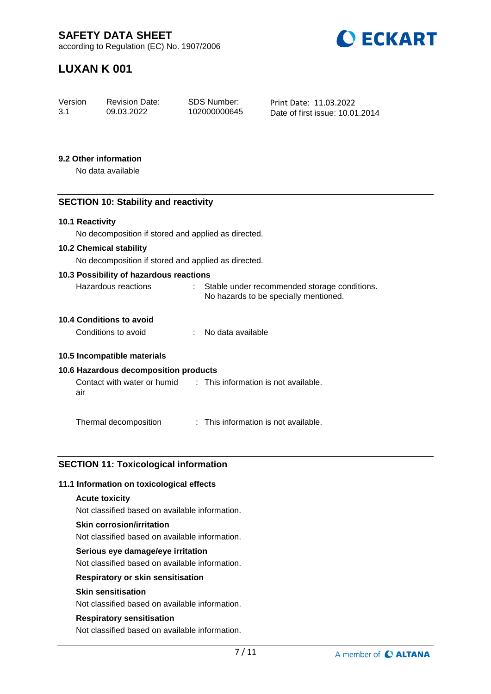

# **LUXAN K 001**

| Version | <b>Revision Date:</b> | SDS Number:  | Print Date: 11.03.2022          |
|---------|-----------------------|--------------|---------------------------------|
| 3.1     | 09.03.2022            | 102000000645 | Date of first issue: 10.01.2014 |

#### **9.2 Other information**

No data available

## **SECTION 10: Stability and reactivity**

#### **10.1 Reactivity**

No decomposition if stored and applied as directed.

#### **10.2 Chemical stability**

No decomposition if stored and applied as directed.

#### **10.3 Possibility of hazardous reactions**

| Hazardous reactions | Stable under recommended storage conditions. |
|---------------------|----------------------------------------------|
|                     | No hazards to be specially mentioned.        |

### **10.4 Conditions to avoid**

| Conditions to avoid |  | No data available |
|---------------------|--|-------------------|
|---------------------|--|-------------------|

#### **10.5 Incompatible materials**

#### **10.6 Hazardous decomposition products**

Contact with water or humid air : This information is not available.

Thermal decomposition : This information is not available.

#### **SECTION 11: Toxicological information**

#### **11.1 Information on toxicological effects**

#### **Acute toxicity**

Not classified based on available information.

#### **Skin corrosion/irritation**

Not classified based on available information.

#### **Serious eye damage/eye irritation**

Not classified based on available information.

#### **Respiratory or skin sensitisation**

## **Skin sensitisation**

Not classified based on available information.

## **Respiratory sensitisation**

Not classified based on available information.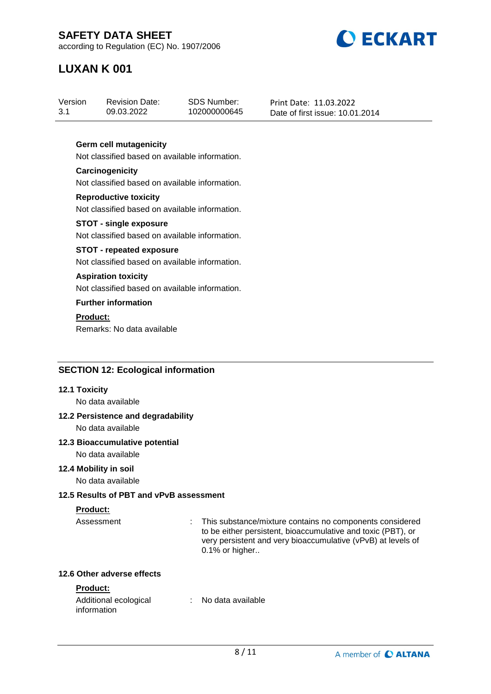

# **LUXAN K 001**

## **Germ cell mutagenicity**

Not classified based on available information.

#### **Carcinogenicity** Not classified based on available information.

**Reproductive toxicity** Not classified based on available information.

#### **STOT - single exposure** Not classified based on available information.

## **STOT - repeated exposure**

Not classified based on available information.

### **Aspiration toxicity**

Not classified based on available information.

## **Further information**

## **Product:**

Remarks: No data available

## **SECTION 12: Ecological information**

#### **12.1 Toxicity**

No data available

## **12.2 Persistence and degradability**

No data available

## **12.3 Bioaccumulative potential**

No data available

#### **12.4 Mobility in soil**

No data available

## **12.5 Results of PBT and vPvB assessment**

## **Product:**

Assessment : This substance/mixture contains no components considered to be either persistent, bioaccumulative and toxic (PBT), or very persistent and very bioaccumulative (vPvB) at levels of 0.1% or higher..

### **12.6 Other adverse effects**

## **Product:**

| Additional ecological | No data available |  |
|-----------------------|-------------------|--|
| information           |                   |  |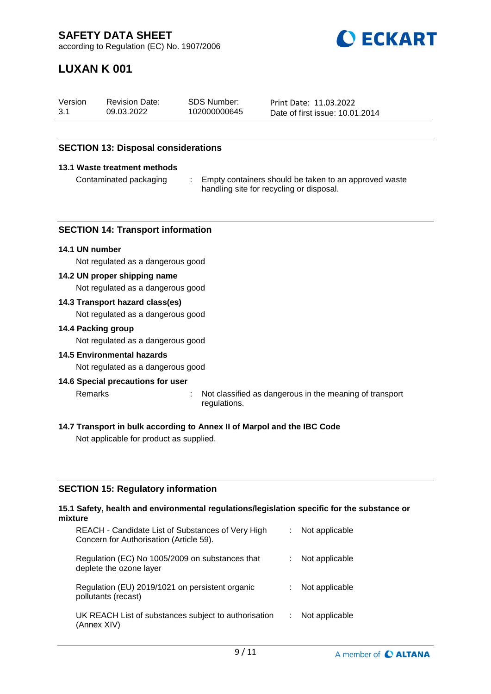

# **LUXAN K 001**

| Version | <b>Revision Date:</b> | SDS Number:  | Print Date: 11.03.2022          |
|---------|-----------------------|--------------|---------------------------------|
| 3.1     | 09.03.2022            | 102000000645 | Date of first issue: 10.01.2014 |

## **SECTION 13: Disposal considerations**

#### **13.1 Waste treatment methods**

Contaminated packaging : Empty containers should be taken to an approved waste handling site for recycling or disposal.

#### **SECTION 14: Transport information**

#### **14.1 UN number**

Not regulated as a dangerous good

#### **14.2 UN proper shipping name**

Not regulated as a dangerous good

#### **14.3 Transport hazard class(es)**

Not regulated as a dangerous good

#### **14.4 Packing group**

Not regulated as a dangerous good

#### **14.5 Environmental hazards**

Not regulated as a dangerous good

#### **14.6 Special precautions for user**

Remarks : Not classified as dangerous in the meaning of transport

- regulations.
- **14.7 Transport in bulk according to Annex II of Marpol and the IBC Code**

Not applicable for product as supplied.

#### **SECTION 15: Regulatory information**

#### **15.1 Safety, health and environmental regulations/legislation specific for the substance or mixture**

| REACH - Candidate List of Substances of Very High<br>Concern for Authorisation (Article 59). | Not applicable |
|----------------------------------------------------------------------------------------------|----------------|
| Regulation (EC) No 1005/2009 on substances that<br>deplete the ozone layer                   | Not applicable |
| Regulation (EU) 2019/1021 on persistent organic<br>pollutants (recast)                       | Not applicable |
| UK REACH List of substances subject to authorisation<br>(Annex XIV)                          | Not applicable |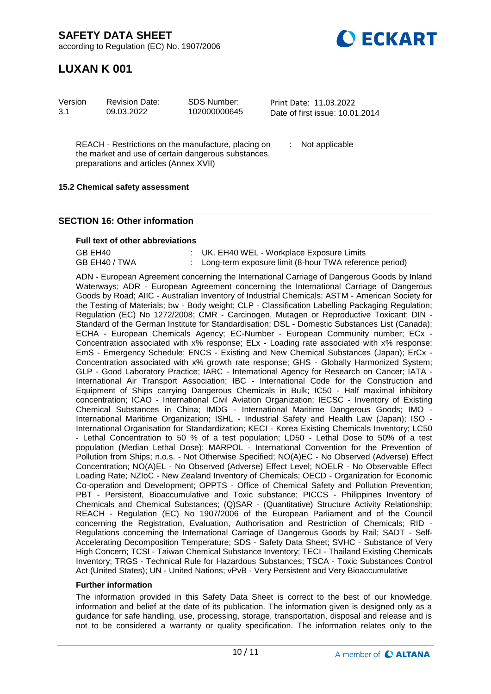**DECKART** 

according to Regulation (EC) No. 1907/2006

# **LUXAN K 001**

| Version<br>SDS Number:<br><b>Revision Date:</b><br>3.1<br>102000000645<br>09.03.2022 | Print Date: 11.03.2022<br>Date of first issue: 10.01.2014 |
|--------------------------------------------------------------------------------------|-----------------------------------------------------------|
|--------------------------------------------------------------------------------------|-----------------------------------------------------------|

REACH - Restrictions on the manufacture, placing on the market and use of certain dangerous substances, preparations and articles (Annex XVII)

: Not applicable

### **15.2 Chemical safety assessment**

### **SECTION 16: Other information**

#### **Full text of other abbreviations**

| GB EH40       | : UK. EH40 WEL - Workplace Exposure Limits               |
|---------------|----------------------------------------------------------|
| GB EH40 / TWA | : Long-term exposure limit (8-hour TWA reference period) |

ADN - European Agreement concerning the International Carriage of Dangerous Goods by Inland Waterways; ADR - European Agreement concerning the International Carriage of Dangerous Goods by Road; AIIC - Australian Inventory of Industrial Chemicals; ASTM - American Society for the Testing of Materials; bw - Body weight; CLP - Classification Labelling Packaging Regulation; Regulation (EC) No 1272/2008; CMR - Carcinogen, Mutagen or Reproductive Toxicant; DIN - Standard of the German Institute for Standardisation; DSL - Domestic Substances List (Canada); ECHA - European Chemicals Agency; EC-Number - European Community number; ECx -Concentration associated with x% response; ELx - Loading rate associated with x% response; EmS - Emergency Schedule; ENCS - Existing and New Chemical Substances (Japan); ErCx - Concentration associated with x% growth rate response; GHS - Globally Harmonized System; GLP - Good Laboratory Practice; IARC - International Agency for Research on Cancer; IATA - International Air Transport Association; IBC - International Code for the Construction and Equipment of Ships carrying Dangerous Chemicals in Bulk; IC50 - Half maximal inhibitory concentration; ICAO - International Civil Aviation Organization; IECSC - Inventory of Existing Chemical Substances in China; IMDG - International Maritime Dangerous Goods; IMO - International Maritime Organization; ISHL - Industrial Safety and Health Law (Japan); ISO - International Organisation for Standardization; KECI - Korea Existing Chemicals Inventory; LC50 - Lethal Concentration to 50 % of a test population; LD50 - Lethal Dose to 50% of a test population (Median Lethal Dose); MARPOL - International Convention for the Prevention of Pollution from Ships; n.o.s. - Not Otherwise Specified; NO(A)EC - No Observed (Adverse) Effect Concentration; NO(A)EL - No Observed (Adverse) Effect Level; NOELR - No Observable Effect Loading Rate; NZIoC - New Zealand Inventory of Chemicals; OECD - Organization for Economic Co-operation and Development; OPPTS - Office of Chemical Safety and Pollution Prevention; PBT - Persistent, Bioaccumulative and Toxic substance; PICCS - Philippines Inventory of Chemicals and Chemical Substances; (Q)SAR - (Quantitative) Structure Activity Relationship; REACH - Regulation (EC) No 1907/2006 of the European Parliament and of the Council concerning the Registration, Evaluation, Authorisation and Restriction of Chemicals; RID - Regulations concerning the International Carriage of Dangerous Goods by Rail; SADT - Self-Accelerating Decomposition Temperature; SDS - Safety Data Sheet; SVHC - Substance of Very High Concern; TCSI - Taiwan Chemical Substance Inventory; TECI - Thailand Existing Chemicals Inventory; TRGS - Technical Rule for Hazardous Substances; TSCA - Toxic Substances Control Act (United States); UN - United Nations; vPvB - Very Persistent and Very Bioaccumulative

#### **Further information**

The information provided in this Safety Data Sheet is correct to the best of our knowledge, information and belief at the date of its publication. The information given is designed only as a guidance for safe handling, use, processing, storage, transportation, disposal and release and is not to be considered a warranty or quality specification. The information relates only to the